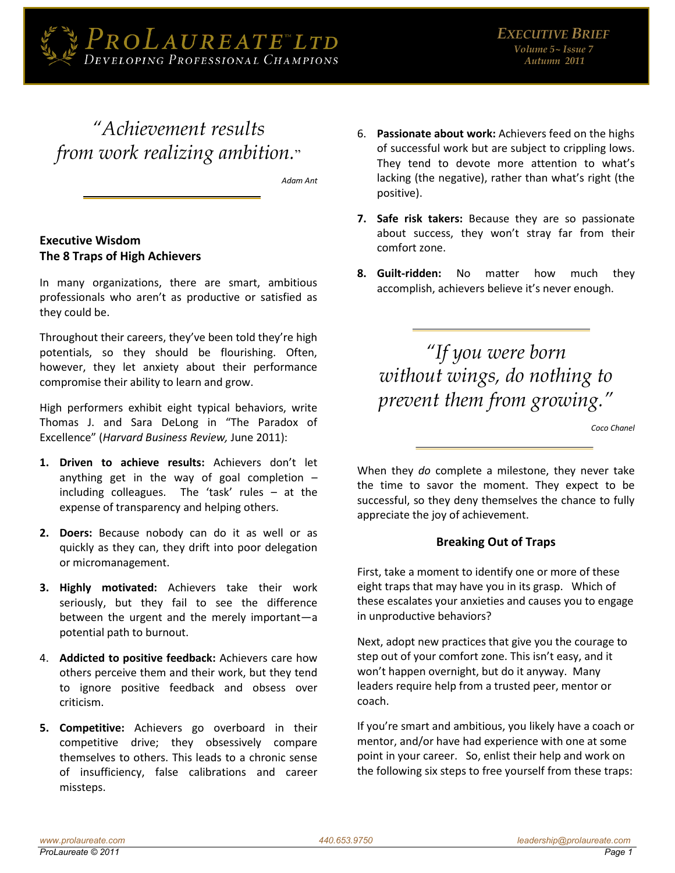

# "Achievement results from work realizing ambition."

Adam Ant

## **Executive Wisdom** The 8 Traps of High Achievers

In many organizations, there are smart, ambitious professionals who aren't as productive or satisfied as they could be.

Throughout their careers, they've been told they're high potentials, so they should be flourishing. Often, however, they let anxiety about their performance compromise their ability to learn and grow.

High performers exhibit eight typical behaviors, write Thomas J. and Sara DeLong in "The Paradox of Excellence" (Harvard Business Review, June 2011):

- 1. Driven to achieve results: Achievers don't let anything get in the way of goal completion  $$ including colleagues. The 'task' rules - at the expense of transparency and helping others.
- 2. Doers: Because nobody can do it as well or as quickly as they can, they drift into poor delegation or micromanagement.
- 3. Highly motivated: Achievers take their work seriously, but they fail to see the difference between the urgent and the merely important-a potential path to burnout.
- 4. Addicted to positive feedback: Achievers care how others perceive them and their work, but they tend to ignore positive feedback and obsess over criticism.
- 5. Competitive: Achievers go overboard in their competitive drive; they obsessively compare themselves to others. This leads to a chronic sense of insufficiency, false calibrations and career missteps.
- 6. Passionate about work: Achievers feed on the highs of successful work but are subject to crippling lows. They tend to devote more attention to what's lacking (the negative), rather than what's right (the positive).
- 7. Safe risk takers: Because they are so passionate about success, they won't stray far from their comfort zone.
- 8. Guilt-ridden: No matter how much they accomplish, achievers believe it's never enough.

"If you were born without wings, do nothing to prevent them from growing."

Coco Chanel

When they do complete a milestone, they never take the time to savor the moment. They expect to be successful, so they deny themselves the chance to fully appreciate the joy of achievement.

#### **Breaking Out of Traps**

First, take a moment to identify one or more of these eight traps that may have you in its grasp. Which of these escalates your anxieties and causes you to engage in unproductive behaviors?

Next, adopt new practices that give you the courage to step out of your comfort zone. This isn't easy, and it won't happen overnight, but do it anyway. Many leaders require help from a trusted peer, mentor or coach.

If you're smart and ambitious, you likely have a coach or mentor, and/or have had experience with one at some point in your career. So, enlist their help and work on the following six steps to free yourself from these traps: